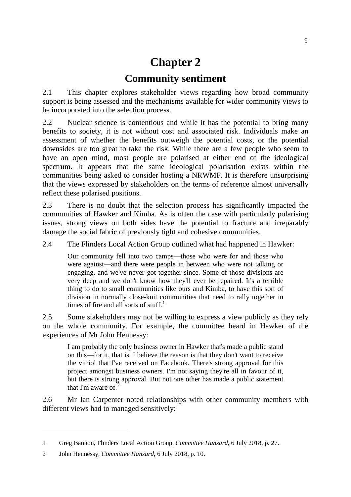# **Chapter 2 Community sentiment**

2.1 This chapter explores stakeholder views regarding how broad community support is being assessed and the mechanisms available for wider community views to be incorporated into the selection process.

2.2 Nuclear science is contentious and while it has the potential to bring many benefits to society, it is not without cost and associated risk. Individuals make an assessment of whether the benefits outweigh the potential costs, or the potential downsides are too great to take the risk. While there are a few people who seem to have an open mind, most people are polarised at either end of the ideological spectrum. It appears that the same ideological polarisation exists within the communities being asked to consider hosting a NRWMF. It is therefore unsurprising that the views expressed by stakeholders on the terms of reference almost universally reflect these polarised positions.

2.3 There is no doubt that the selection process has significantly impacted the communities of Hawker and Kimba. As is often the case with particularly polarising issues, strong views on both sides have the potential to fracture and irreparably damage the social fabric of previously tight and cohesive communities.

2.4 The Flinders Local Action Group outlined what had happened in Hawker:

Our community fell into two camps—those who were for and those who were against—and there were people in between who were not talking or engaging, and we've never got together since. Some of those divisions are very deep and we don't know how they'll ever be repaired. It's a terrible thing to do to small communities like ours and Kimba, to have this sort of division in normally close-knit communities that need to rally together in times of fire and all sorts of stuff.<sup>[1](#page-0-0)</sup>

2.5 Some stakeholders may not be willing to express a view publicly as they rely on the whole community. For example, the committee heard in Hawker of the experiences of Mr John Hennessy:

I am probably the only business owner in Hawker that's made a public stand on this—for it, that is. I believe the reason is that they don't want to receive the vitriol that I've received on Facebook. There's strong approval for this project amongst business owners. I'm not saying they're all in favour of it, but there is strong approval. But not one other has made a public statement that I'm aware of. $\frac{3}{2}$  $\frac{3}{2}$  $\frac{3}{2}$ 

2.6 Mr Ian Carpenter noted relationships with other community members with different views had to managed sensitively:

<span id="page-0-0"></span><sup>1</sup> Greg Bannon, Flinders Local Action Group, *Committee Hansard*, 6 July 2018, p. 27.

<span id="page-0-1"></span><sup>2</sup> John Hennessy, *Committee Hansard*, 6 July 2018, p. 10.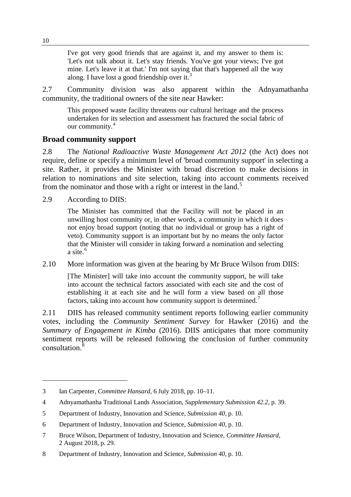I've got very good friends that are against it, and my answer to them is: 'Let's not talk about it. Let's stay friends. You've got your views; I've got mine. Let's leave it at that.' I'm not saying that that's happened all the way along. I have lost a good friendship over it.<sup>[3](#page-1-0)</sup>

2.7 Community division was also apparent within the Adnyamathanha community, the traditional owners of the site near Hawker:

This proposed waste facility threatens our cultural heritage and the process undertaken for its selection and assessment has fractured the social fabric of our community. [4](#page-1-1)

## **Broad community support**

2.8 The *National Radioactive Waste Management Act 2012* (the Act) does not require, define or specify a minimum level of 'broad community support' in selecting a site. Rather, it provides the Minister with broad discretion to make decisions in relation to nominations and site selection, taking into account comments received from the nominator and those with a right or interest in the land.<sup>[5](#page-1-2)</sup>

2.9 According to DIIS:

The Minister has committed that the Facility will not be placed in an unwilling host community or, in other words, a community in which it does not enjoy broad support (noting that no individual or group has a right of veto). Community support is an important but by no means the only factor that the Minister will consider in taking forward a nomination and selecting a site. $6$ 

## 2.10 More information was given at the hearing by Mr Bruce Wilson from DIIS:

[The Minister] will take into account the community support, he will take into account the technical factors associated with each site and the cost of establishing it at each site and he will form a view based on all those factors, taking into account how community support is determined.<sup>[7](#page-1-4)</sup>

2.11 DIIS has released community sentiment reports following earlier community votes, including the *Community Sentiment Survey* for Hawker (2016) and the *Summary of Engagement in Kimba* (2016). DIIS anticipates that more community sentiment reports will be released following the conclusion of further community consultation.<sup>[8](#page-1-5)</sup>

<span id="page-1-0"></span><sup>3</sup> Ian Carpenter, *Committee Hansard*, 6 July 2018, pp. 10–11.

<span id="page-1-1"></span><sup>4</sup> Adnyamathanha Traditional Lands Association, *Supplementary Submission 42.2*, p. 39.

<span id="page-1-2"></span><sup>5</sup> Department of Industry, Innovation and Science, *Submission 40*, p. 10.

<span id="page-1-3"></span><sup>6</sup> Department of Industry, Innovation and Science, *Submission 40*, p. 10.

<span id="page-1-4"></span><sup>7</sup> Bruce Wilson, Department of Industry, Innovation and Science, *Committee Hansard*, 2 August 2018, p. 29.

<span id="page-1-5"></span><sup>8</sup> Department of Industry, Innovation and Science, *Submission 40*, p. 10.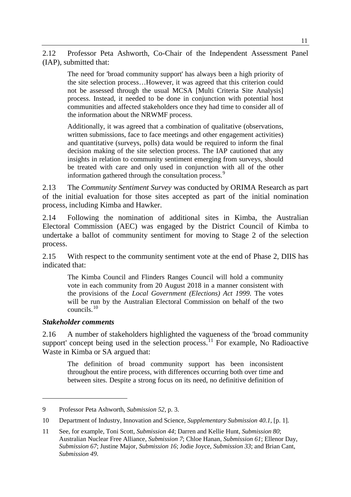2.12 Professor Peta Ashworth, Co-Chair of the Independent Assessment Panel (IAP), submitted that:

The need for 'broad community support' has always been a high priority of the site selection process…However, it was agreed that this criterion could not be assessed through the usual MCSA [Multi Criteria Site Analysis] process. Instead, it needed to be done in conjunction with potential host communities and affected stakeholders once they had time to consider all of the information about the NRWMF process.

Additionally, it was agreed that a combination of qualitative (observations, written submissions, face to face meetings and other engagement activities) and quantitative (surveys, polls) data would be required to inform the final decision making of the site selection process. The IAP cautioned that any insights in relation to community sentiment emerging from surveys, should be treated with care and only used in conjunction with all of the other information gathered through the consultation process.<sup>[9](#page-2-0)</sup>

2.13 The *Community Sentiment Survey* was conducted by ORIMA Research as part of the initial evaluation for those sites accepted as part of the initial nomination process, including Kimba and Hawker.

2.14 Following the nomination of additional sites in Kimba, the Australian Electoral Commission (AEC) was engaged by the District Council of Kimba to undertake a ballot of community sentiment for moving to Stage 2 of the selection process.

2.15 With respect to the community sentiment vote at the end of Phase 2, DIIS has indicated that:

The Kimba Council and Flinders Ranges Council will hold a community vote in each community from 20 August 2018 in a manner consistent with the provisions of the *Local Government (Elections) Act 1999*. The votes will be run by the Australian Electoral Commission on behalf of the two councils.[10](#page-2-1)

#### *Stakeholder comments*

-

2.16 A number of stakeholders highlighted the vagueness of the 'broad community support' concept being used in the selection process.<sup>[11](#page-2-2)</sup> For example, No Radioactive Waste in Kimba or SA argued that:

The definition of broad community support has been inconsistent throughout the entire process, with differences occurring both over time and between sites. Despite a strong focus on its need, no definitive definition of

<span id="page-2-0"></span><sup>9</sup> Professor Peta Ashworth, *Submission 52*, p. 3.

<span id="page-2-1"></span><sup>10</sup> Department of Industry, Innovation and Science, *Supplementary Submission 40.1*, [p. 1].

<span id="page-2-2"></span><sup>11</sup> See, for example, Toni Scott, *Submission 44*; Darren and Kellie Hunt, *Submission 80*; Australian Nuclear Free Alliance, *Submission 7*; Chloe Hanan, *Submission 61*; Ellenor Day, *Submission 67*; Justine Major, *Submission 16*; Jodie Joyce, *Submission 33*; and Brian Cant, *Submission 49*.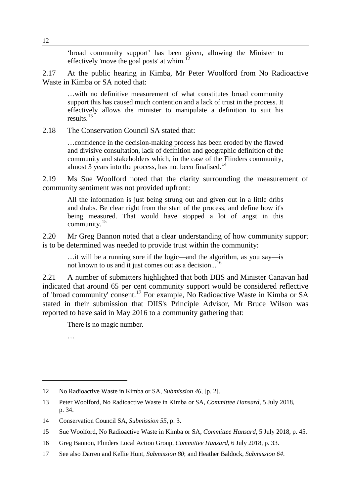'broad community support' has been given, allowing the Minister to effectively 'move the goal posts' at whim.<sup>1</sup>

2.17 At the public hearing in Kimba, Mr Peter Woolford from No Radioactive Waste in Kimba or SA noted that:

…with no definitive measurement of what constitutes broad community support this has caused much contention and a lack of trust in the process. It effectively allows the minister to manipulate a definition to suit his results. $^{13}$  $^{13}$  $^{13}$ 

2.18 The Conservation Council SA stated that:

…confidence in the decision-making process has been eroded by the flawed and divisive consultation, lack of definition and geographic definition of the community and stakeholders which, in the case of the Flinders community, almost 3 years into the process, has not been finalised.<sup>[14](#page-3-2)</sup>

2.19 Ms Sue Woolford noted that the clarity surrounding the measurement of community sentiment was not provided upfront:

All the information is just being strung out and given out in a little dribs and drabs. Be clear right from the start of the process, and define how it's being measured. That would have stopped a lot of angst in this community.[15](#page-3-3)

2.20 Mr Greg Bannon noted that a clear understanding of how community support is to be determined was needed to provide trust within the community:

…it will be a running sore if the logic—and the algorithm, as you say—is not known to us and it just comes out as a decision...<sup>[16](#page-3-4)</sup>

2.21 A number of submitters highlighted that both DIIS and Minister Canavan had indicated that around 65 per cent community support would be considered reflective of 'broad community' consent.[17](#page-3-5) For example, No Radioactive Waste in Kimba or SA stated in their submission that DIIS's Principle Advisor, Mr Bruce Wilson was reported to have said in May 2016 to a community gathering that:

There is no magic number.

…

<span id="page-3-0"></span><sup>12</sup> No Radioactive Waste in Kimba or SA, *Submission 46*, [p. 2].

<span id="page-3-1"></span><sup>13</sup> Peter Woolford, No Radioactive Waste in Kimba or SA, *Committee Hansard*, 5 July 2018, p. 34.

<span id="page-3-2"></span><sup>14</sup> Conservation Council SA, *Submission 55*, p. 3.

<span id="page-3-3"></span><sup>15</sup> Sue Woolford, No Radioactive Waste in Kimba or SA, *Committee Hansard*, 5 July 2018, p. 45.

<span id="page-3-4"></span><sup>16</sup> Greg Bannon, Flinders Local Action Group, *Committee Hansard*, 6 July 2018, p. 33.

<span id="page-3-5"></span><sup>17</sup> See also Darren and Kellie Hunt, *Submission 80*; and Heather Baldock, *Submission 64*.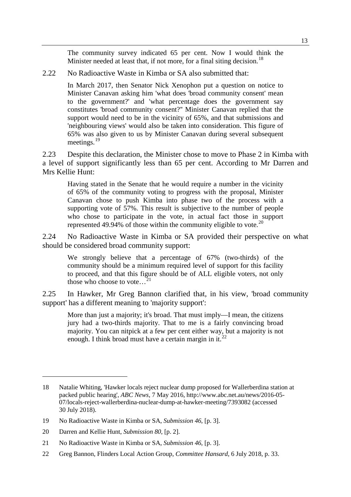The community survey indicated 65 per cent. Now I would think the Minister needed at least that, if not more, for a final siting decision.<sup>[18](#page-4-0)</sup>

2.22 No Radioactive Waste in Kimba or SA also submitted that:

In March 2017, then Senator Nick Xenophon put a question on notice to Minister Canavan asking him 'what does 'broad community consent' mean to the government?' and 'what percentage does the government say constitutes 'broad community consent?'' Minister Canavan replied that the support would need to be in the vicinity of 65%, and that submissions and 'neighbouring views' would also be taken into consideration. This figure of 65% was also given to us by Minister Canavan during several subsequent meetings.<sup>[19](#page-4-1)</sup>

2.23 Despite this declaration, the Minister chose to move to Phase 2 in Kimba with a level of support significantly less than 65 per cent. According to Mr Darren and Mrs Kellie Hunt:

Having stated in the Senate that he would require a number in the vicinity of 65% of the community voting to progress with the proposal, Minister Canavan chose to push Kimba into phase two of the process with a supporting vote of 57%. This result is subjective to the number of people who chose to participate in the vote, in actual fact those in support represented 49.94% of those within the community eligible to vote.<sup>[20](#page-4-2)</sup>

2.24 No Radioactive Waste in Kimba or SA provided their perspective on what should be considered broad community support:

We strongly believe that a percentage of 67% (two-thirds) of the community should be a minimum required level of support for this facility to proceed, and that this figure should be of ALL eligible voters, not only those who choose to vote... $^{21}$  $^{21}$  $^{21}$ 

2.25 In Hawker, Mr Greg Bannon clarified that, in his view, 'broad community support' has a different meaning to 'majority support':

More than just a majority; it's broad. That must imply—I mean, the citizens jury had a two-thirds majority. That to me is a fairly convincing broad majority. You can nitpick at a few per cent either way, but a majority is not enough. I think broad must have a certain margin in it.<sup>[22](#page-4-4)</sup>

<span id="page-4-0"></span><sup>18</sup> Natalie Whiting, 'Hawker locals reject nuclear dump proposed for Wallerberdina station at packed public hearing', *ABC News*, 7 May 2016, http://www.abc.net.au/news/2016-05- 07/locals-reject-wallerberdina-nuclear-dump-at-hawker-meeting/7393082 (accessed 30 July 2018).

<span id="page-4-1"></span><sup>19</sup> No Radioactive Waste in Kimba or SA, *Submission 46*, [p. 3].

<span id="page-4-2"></span><sup>20</sup> Darren and Kellie Hunt, *Submission 80*, [p. 2].

<span id="page-4-3"></span><sup>21</sup> No Radioactive Waste in Kimba or SA, *Submission 46*, [p. 3].

<span id="page-4-4"></span><sup>22</sup> Greg Bannon, Flinders Local Action Group, *Committee Hansard*, 6 July 2018, p. 33.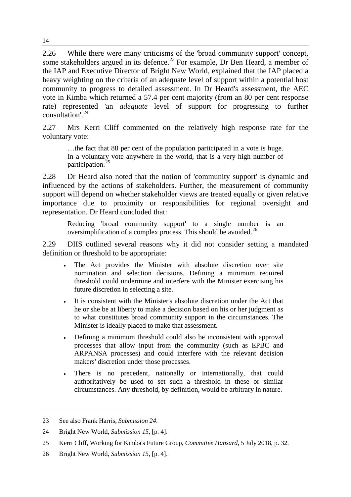2.26 While there were many criticisms of the 'broad community support' concept, some stakeholders argued in its defence.<sup>[23](#page-5-0)</sup> For example, Dr Ben Heard, a member of the IAP and Executive Director of Bright New World, explained that the IAP placed a heavy weighting on the criteria of an adequate level of support within a potential host community to progress to detailed assessment. In Dr Heard's assessment, the AEC vote in Kimba which returned a 57.4 per cent majority (from an 80 per cent response rate) represented 'an *adequate* level of support for progressing to further consultation'.[24](#page-5-1)

2.27 Mrs Kerri Cliff commented on the relatively high response rate for the voluntary vote:

…the fact that 88 per cent of the population participated in a vote is huge. In a voluntary vote anywhere in the world, that is a very high number of participation.[25](#page-5-2)

2.28 Dr Heard also noted that the notion of 'community support' is dynamic and influenced by the actions of stakeholders. Further, the measurement of community support will depend on whether stakeholder views are treated equally or given relative importance due to proximity or responsibilities for regional oversight and representation. Dr Heard concluded that:

Reducing 'broad community support' to a single number is an oversimplification of a complex process. This should be avoided.<sup>[26](#page-5-3)</sup>

2.29 DIIS outlined several reasons why it did not consider setting a mandated definition or threshold to be appropriate:

- The Act provides the Minister with absolute discretion over site nomination and selection decisions. Defining a minimum required threshold could undermine and interfere with the Minister exercising his future discretion in selecting a site.
- It is consistent with the Minister's absolute discretion under the Act that he or she be at liberty to make a decision based on his or her judgment as to what constitutes broad community support in the circumstances. The Minister is ideally placed to make that assessment.
- Defining a minimum threshold could also be inconsistent with approval processes that allow input from the community (such as EPBC and ARPANSA processes) and could interfere with the relevant decision makers' discretion under those processes.
- There is no precedent, nationally or internationally, that could authoritatively be used to set such a threshold in these or similar circumstances. Any threshold, by definition, would be arbitrary in nature.

<span id="page-5-0"></span><sup>23</sup> See also Frank Harris, *Submission 24*.

<span id="page-5-1"></span><sup>24</sup> Bright New World, *Submission 15*, [p. 4].

<span id="page-5-2"></span><sup>25</sup> Kerri Cliff, Working for Kimba's Future Group, *Committee Hansard*, 5 July 2018, p. 32.

<span id="page-5-3"></span><sup>26</sup> Bright New World, *Submission 15*, [p. 4].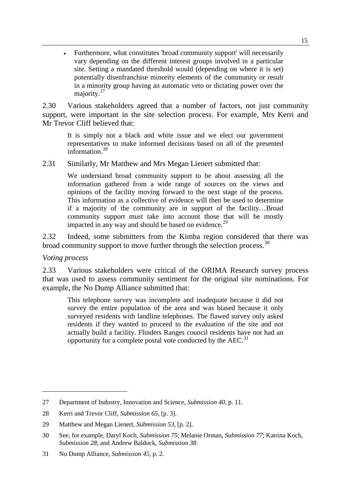• Furthermore, what constitutes 'broad community support' will necessarily vary depending on the different interest groups involved in a particular site. Setting a mandated threshold would (depending on where it is set) potentially disenfranchise minority elements of the community or result in a minority group having an automatic veto or dictating power over the majority.<sup>[27](#page-6-0)</sup>

2.30 Various stakeholders agreed that a number of factors, not just community support, were important in the site selection process. For example, Mrs Kerri and Mr Trevor Cliff believed that:

It is simply not a black and white issue and we elect our government representatives to make informed decisions based on all of the presented information. $^{28}$  $^{28}$  $^{28}$ 

2.31 Similarly, Mr Matthew and Mrs Megan Lienert submitted that:

We understand broad community support to be about assessing all the information gathered from a wide range of sources on the views and opinions of the facility moving forward to the next stage of the process. This information as a collective of evidence will then be used to determine if a majority of the community are in support of the facility…Broad community support must take into account those that will be mostly impacted in any way and should be based on evidence.<sup>[29](#page-6-2)</sup>

2.32 Indeed, some submitters from the Kimba region considered that there was broad community support to move further through the selection process.<sup>[30](#page-6-3)</sup>

*Voting process*

-

2.33 Various stakeholders were critical of the ORIMA Research survey process that was used to assess community sentiment for the original site nominations. For example, the No Dump Alliance submitted that:

This telephone survey was incomplete and inadequate because it did not survey the entire population of the area and was biased because it only surveyed residents with landline telephones. The flawed survey only asked residents if they wanted to proceed to the evaluation of the site and not actually build a facility. Flinders Ranges council residents have not had an opportunity for a complete postal vote conducted by the AEC.<sup>[31](#page-6-4)</sup>

<span id="page-6-0"></span><sup>27</sup> Department of Industry, Innovation and Science, *Submission 40*, p. 11.

<span id="page-6-1"></span><sup>28</sup> Kerri and Trevor Cliff, *Submission 65*, [p. 3].

<span id="page-6-2"></span><sup>29</sup> Matthew and Megan Lienert, *Submission 53*, [p. 2].

<span id="page-6-3"></span><sup>30</sup> See, for example, Daryl Koch, *Submission 75*; Melanie Orman, *Submission 77*; Katrina Koch, *Submission 28*; and Andrew Baldock, *Submission 38*.

<span id="page-6-4"></span><sup>31</sup> No Dump Alliance, *Submission 45*, p. 2.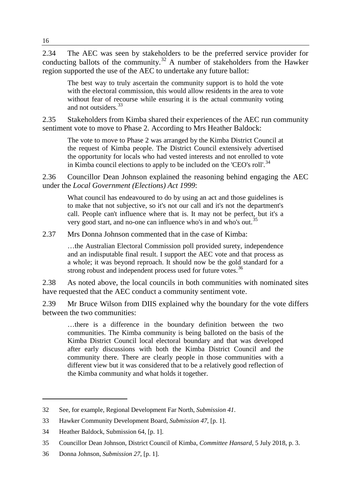2.34 The AEC was seen by stakeholders to be the preferred service provider for conducting ballots of the community.<sup>[32](#page-7-0)</sup> A number of stakeholders from the Hawker region supported the use of the AEC to undertake any future ballot:

The best way to truly ascertain the community support is to hold the vote with the electoral commission, this would allow residents in the area to vote without fear of recourse while ensuring it is the actual community voting and not outsiders.<sup>[33](#page-7-1)</sup>

2.35 Stakeholders from Kimba shared their experiences of the AEC run community sentiment vote to move to Phase 2. According to Mrs Heather Baldock:

The vote to move to Phase 2 was arranged by the Kimba District Council at the request of Kimba people. The District Council extensively advertised the opportunity for locals who had vested interests and not enrolled to vote in Kimba council elections to apply to be included on the 'CEO's roll'.<sup>[34](#page-7-2)</sup>

2.36 Councillor Dean Johnson explained the reasoning behind engaging the AEC under the *Local Government (Elections) Act 1999*:

What council has endeavoured to do by using an act and those guidelines is to make that not subjective, so it's not our call and it's not the department's call. People can't influence where that is. It may not be perfect, but it's a very good start, and no-one can influence who's in and who's out.<sup>[35](#page-7-3)</sup>

2.37 Mrs Donna Johnson commented that in the case of Kimba:

…the Australian Electoral Commission poll provided surety, independence and an indisputable final result. I support the AEC vote and that process as a whole; it was beyond reproach. It should now be the gold standard for a strong robust and independent process used for future votes.<sup>[36](#page-7-4)</sup>

2.38 As noted above, the local councils in both communities with nominated sites have requested that the AEC conduct a community sentiment vote.

2.39 Mr Bruce Wilson from DIIS explained why the boundary for the vote differs between the two communities:

…there is a difference in the boundary definition between the two communities. The Kimba community is being balloted on the basis of the Kimba District Council local electoral boundary and that was developed after early discussions with both the Kimba District Council and the community there. There are clearly people in those communities with a different view but it was considered that to be a relatively good reflection of the Kimba community and what holds it together.

<span id="page-7-0"></span><sup>32</sup> See, for example, Regional Development Far North, *Submission 41*.

<span id="page-7-1"></span><sup>33</sup> Hawker Community Development Board, *Submission 47*, [p. 1].

<span id="page-7-2"></span><sup>34</sup> Heather Baldock, Submission 64, [p. 1].

<span id="page-7-3"></span><sup>35</sup> Councillor Dean Johnson, District Council of Kimba, *Committee Hansard*, 5 July 2018, p. 3.

<span id="page-7-4"></span><sup>36</sup> Donna Johnson, *Submission 27*, [p. 1].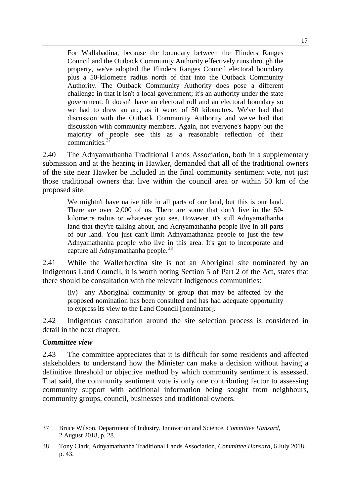For Wallabadina, because the boundary between the Flinders Ranges Council and the Outback Community Authority effectively runs through the property, we've adopted the Flinders Ranges Council electoral boundary plus a 50-kilometre radius north of that into the Outback Community Authority. The Outback Community Authority does pose a different challenge in that it isn't a local government; it's an authority under the state government. It doesn't have an electoral roll and an electoral boundary so we had to draw an arc, as it were, of 50 kilometres. We've had that discussion with the Outback Community Authority and we've had that discussion with community members. Again, not everyone's happy but the majority of people see this as a reasonable reflection of their communities.<sup>[37](#page-8-0)</sup>

2.40 The Adnyamathanha Traditional Lands Association, both in a supplementary submission and at the hearing in Hawker, demanded that all of the traditional owners of the site near Hawker be included in the final community sentiment vote, not just those traditional owners that live within the council area or within 50 km of the proposed site.

We mightn't have native title in all parts of our land, but this is our land. There are over 2,000 of us. There are some that don't live in the 50 kilometre radius or whatever you see. However, it's still Adnyamathanha land that they're talking about, and Adnyamathanha people live in all parts of our land. You just can't limit Adnyamathanha people to just the few Adnyamathanha people who live in this area. It's got to incorporate and capture all Adnyamathanha people.<sup>[38](#page-8-1)</sup>

2.41 While the Wallerberdina site is not an Aboriginal site nominated by an Indigenous Land Council, it is worth noting Section 5 of Part 2 of the Act, states that there should be consultation with the relevant Indigenous communities:

(iv) any Aboriginal community or group that may be affected by the proposed nomination has been consulted and has had adequate opportunity to express its view to the Land Council [nominator].

2.42 Indigenous consultation around the site selection process is considered in detail in the next chapter.

#### *Committee view*

-

2.43 The committee appreciates that it is difficult for some residents and affected stakeholders to understand how the Minister can make a decision without having a definitive threshold or objective method by which community sentiment is assessed. That said, the community sentiment vote is only one contributing factor to assessing community support with additional information being sought from neighbours, community groups, council, businesses and traditional owners.

<span id="page-8-0"></span><sup>37</sup> Bruce Wilson, Department of Industry, Innovation and Science, *Committee Hansard*, 2 August 2018, p. 28.

<span id="page-8-1"></span><sup>38</sup> Tony Clark, Adnyamathanha Traditional Lands Association, *Committee Hansard*, 6 July 2018, p. 43.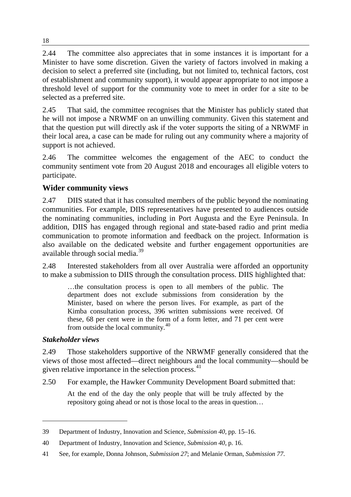2.44 The committee also appreciates that in some instances it is important for a Minister to have some discretion. Given the variety of factors involved in making a decision to select a preferred site (including, but not limited to, technical factors, cost of establishment and community support), it would appear appropriate to not impose a threshold level of support for the community vote to meet in order for a site to be selected as a preferred site.

2.45 That said, the committee recognises that the Minister has publicly stated that he will not impose a NRWMF on an unwilling community. Given this statement and that the question put will directly ask if the voter supports the siting of a NRWMF in their local area, a case can be made for ruling out any community where a majority of support is not achieved.

2.46 The committee welcomes the engagement of the AEC to conduct the community sentiment vote from 20 August 2018 and encourages all eligible voters to participate.

# **Wider community views**

2.47 DIIS stated that it has consulted members of the public beyond the nominating communities. For example, DIIS representatives have presented to audiences outside the nominating communities, including in Port Augusta and the Eyre Peninsula. In addition, DIIS has engaged through regional and state-based radio and print media communication to promote information and feedback on the project. Information is also available on the dedicated website and further engagement opportunities are available through social media.[39](#page-9-0)

2.48 Interested stakeholders from all over Australia were afforded an opportunity to make a submission to DIIS through the consultation process. DIIS highlighted that:

…the consultation process is open to all members of the public. The department does not exclude submissions from consideration by the Minister, based on where the person lives. For example, as part of the Kimba consultation process, 396 written submissions were received. Of these, 68 per cent were in the form of a form letter, and 71 per cent were from outside the local community. $40$ 

## *Stakeholder views*

-

2.49 Those stakeholders supportive of the NRWMF generally considered that the views of those most affected—direct neighbours and the local community—should be given relative importance in the selection process. $41$ 

2.50 For example, the Hawker Community Development Board submitted that:

At the end of the day the only people that will be truly affected by the repository going ahead or not is those local to the areas in question…

<span id="page-9-0"></span><sup>39</sup> Department of Industry, Innovation and Science, *Submission 40*, pp. 15–16.

<span id="page-9-1"></span><sup>40</sup> Department of Industry, Innovation and Science, *Submission 40*, p. 16.

<span id="page-9-2"></span><sup>41</sup> See, for example, Donna Johnson, *Submission 27*; and Melanie Orman, *Submission 77*.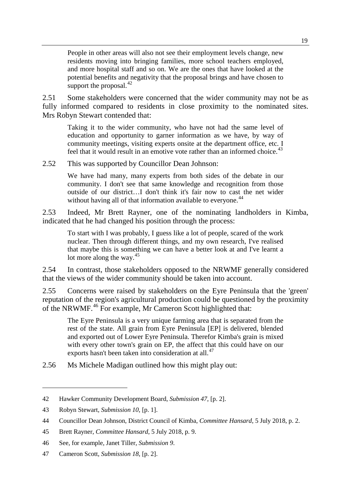People in other areas will also not see their employment levels change, new residents moving into bringing families, more school teachers employed, and more hospital staff and so on. We are the ones that have looked at the potential benefits and negativity that the proposal brings and have chosen to support the proposal. $^{42}$  $^{42}$  $^{42}$ 

2.51 Some stakeholders were concerned that the wider community may not be as fully informed compared to residents in close proximity to the nominated sites. Mrs Robyn Stewart contended that:

Taking it to the wider community, who have not had the same level of education and opportunity to garner information as we have, by way of community meetings, visiting experts onsite at the department office, etc. I feel that it would result in an emotive vote rather than an informed choice.<sup>[43](#page-10-1)</sup>

2.52 This was supported by Councillor Dean Johnson:

We have had many, many experts from both sides of the debate in our community. I don't see that same knowledge and recognition from those outside of our district…I don't think it's fair now to cast the net wider without having all of that information available to everyone.<sup>[44](#page-10-2)</sup>

2.53 Indeed, Mr Brett Rayner, one of the nominating landholders in Kimba, indicated that he had changed his position through the process:

To start with I was probably, I guess like a lot of people, scared of the work nuclear. Then through different things, and my own research, I've realised that maybe this is something we can have a better look at and I've learnt a lot more along the way. $45$ 

2.54 In contrast, those stakeholders opposed to the NRWMF generally considered that the views of the wider community should be taken into account.

2.55 Concerns were raised by stakeholders on the Eyre Peninsula that the 'green' reputation of the region's agricultural production could be questioned by the proximity of the NRWMF.<sup>[46](#page-10-4)</sup> For example, Mr Cameron Scott highlighted that:

The Eyre Peninsula is a very unique farming area that is separated from the rest of the state. All grain from Eyre Peninsula [EP] is delivered, blended and exported out of Lower Eyre Peninsula. Therefor Kimba's grain is mixed with every other town's grain on EP, the affect that this could have on our exports hasn't been taken into consideration at all.<sup>[47](#page-10-5)</sup>

2.56 Ms Michele Madigan outlined how this might play out:

<span id="page-10-0"></span><sup>42</sup> Hawker Community Development Board, *Submission 47*, [p. 2].

<span id="page-10-1"></span><sup>43</sup> Robyn Stewart, *Submission 10*, [p. 1].

<span id="page-10-2"></span><sup>44</sup> Councillor Dean Johnson, District Council of Kimba, *Committee Hansard*, 5 July 2018, p. 2.

<span id="page-10-3"></span><sup>45</sup> Brett Rayner, *Committee Hansard*, 5 July 2018, p. 9.

<span id="page-10-4"></span><sup>46</sup> See, for example, Janet Tiller, *Submission 9*.

<span id="page-10-5"></span><sup>47</sup> Cameron Scott, *Submission 18*, [p. 2].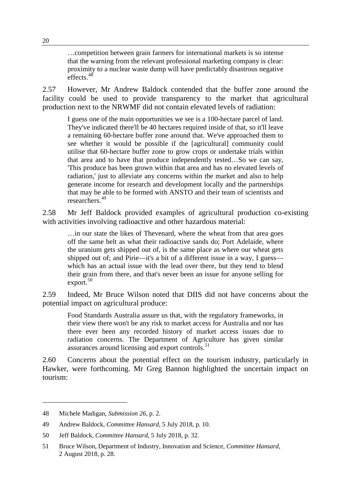…competition between grain farmers for international markets is so intense that the warning from the relevant professional marketing company is clear: proximity to a nuclear waste dump will have predictably disastrous negative effects.[48](#page-11-0)

2.57 However, Mr Andrew Baldock contended that the buffer zone around the facility could be used to provide transparency to the market that agricultural production next to the NRWMF did not contain elevated levels of radiation:

I guess one of the main opportunities we see is a 100-hectare parcel of land. They've indicated there'll be 40 hectares required inside of that, so it'll leave a remaining 60-hectare buffer zone around that. We've approached them to see whether it would be possible if the [agricultural] community could utilise that 60-hectare buffer zone to grow crops or undertake trials within that area and to have that produce independently tested…So we can say, 'This produce has been grown within that area and has no elevated levels of radiation,' just to alleviate any concerns within the market and also to help generate income for research and development locally and the partnerships that may be able to be formed with ANSTO and their team of scientists and researchers.[49](#page-11-1)

2.58 Mr Jeff Baldock provided examples of agricultural production co-existing with activities involving radioactive and other hazardous material:

…in our state the likes of Thevenard, where the wheat from that area goes off the same belt as what their radioactive sands do; Port Adelaide, where the uranium gets shipped out of, is the same place as where our wheat gets shipped out of; and Pirie—it's a bit of a different issue in a way, I guess which has an actual issue with the lead over there, but they tend to blend their grain from there, and that's never been an issue for anyone selling for  $export.<sup>50</sup>$  $export.<sup>50</sup>$  $export.<sup>50</sup>$ 

2.59 Indeed, Mr Bruce Wilson noted that DIIS did not have concerns about the potential impact on agricultural produce:

Food Standards Australia assure us that, with the regulatory frameworks, in their view there won't be any risk to market access for Australia and nor has there ever been any recorded history of market access issues due to radiation concerns. The Department of Agriculture has given similar assurances around licensing and export controls.<sup>[51](#page-11-3)</sup>

2.60 Concerns about the potential effect on the tourism industry, particularly in Hawker, were forthcoming. Mr Greg Bannon highlighted the uncertain impact on tourism:

<span id="page-11-0"></span><sup>48</sup> Michele Madigan, *Submission 26*, p. 2.

<span id="page-11-1"></span><sup>49</sup> Andrew Baldock, *Committee Hansard*, 5 July 2018, p. 10.

<span id="page-11-2"></span><sup>50</sup> Jeff Baldock, *Committee Hansard*, 5 July 2018, p. 32.

<span id="page-11-3"></span><sup>51</sup> Bruce Wilson, Department of Industry, Innovation and Science, *Committee Hansard*, 2 August 2018, p. 28.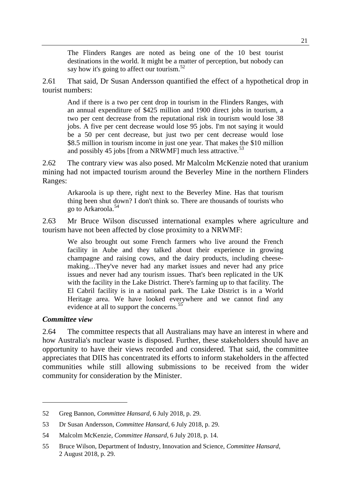The Flinders Ranges are noted as being one of the 10 best tourist destinations in the world. It might be a matter of perception, but nobody can say how it's going to affect our tourism.<sup>[52](#page-12-0)</sup>

2.61 That said, Dr Susan Andersson quantified the effect of a hypothetical drop in tourist numbers:

And if there is a two per cent drop in tourism in the Flinders Ranges, with an annual expenditure of \$425 million and 1900 direct jobs in tourism, a two per cent decrease from the reputational risk in tourism would lose 38 jobs. A five per cent decrease would lose 95 jobs. I'm not saying it would be a 50 per cent decrease, but just two per cent decrease would lose \$8.5 million in tourism income in just one year. That makes the \$10 million and possibly 45 jobs [from a NRWMF] much less attractive.<sup>[53](#page-12-1)</sup>

2.62 The contrary view was also posed. Mr Malcolm McKenzie noted that uranium mining had not impacted tourism around the Beverley Mine in the northern Flinders Ranges:

Arkaroola is up there, right next to the Beverley Mine. Has that tourism thing been shut down? I don't think so. There are thousands of tourists who go to Arkaroola.[54](#page-12-2)

2.63 Mr Bruce Wilson discussed international examples where agriculture and tourism have not been affected by close proximity to a NRWMF:

We also brought out some French farmers who live around the French facility in Aube and they talked about their experience in growing champagne and raising cows, and the dairy products, including cheesemaking…They've never had any market issues and never had any price issues and never had any tourism issues. That's been replicated in the UK with the facility in the Lake District. There's farming up to that facility. The El Cabril facility is in a national park. The Lake District is in a World Heritage area. We have looked everywhere and we cannot find any evidence at all to support the concerns.<sup>[55](#page-12-3)</sup>

#### *Committee view*

-

2.64 The committee respects that all Australians may have an interest in where and how Australia's nuclear waste is disposed. Further, these stakeholders should have an opportunity to have their views recorded and considered. That said, the committee appreciates that DIIS has concentrated its efforts to inform stakeholders in the affected communities while still allowing submissions to be received from the wider community for consideration by the Minister.

<span id="page-12-0"></span><sup>52</sup> Greg Bannon, *Committee Hansard*, 6 July 2018, p. 29.

<span id="page-12-1"></span><sup>53</sup> Dr Susan Andersson, *Committee Hansard*, 6 July 2018, p. 29.

<span id="page-12-2"></span><sup>54</sup> Malcolm McKenzie, *Committee Hansard*, 6 July 2018, p. 14.

<span id="page-12-3"></span><sup>55</sup> Bruce Wilson, Department of Industry, Innovation and Science, *Committee Hansard*, 2 August 2018, p. 29.